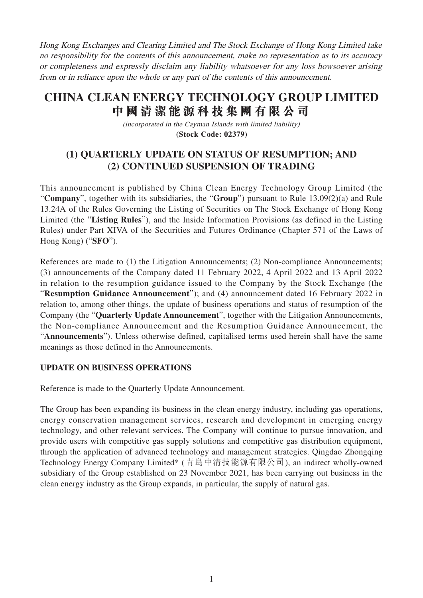Hong Kong Exchanges and Clearing Limited and The Stock Exchange of Hong Kong Limited take no responsibility for the contents of this announcement, make no representation as to its accuracy or completeness and expressly disclaim any liability whatsoever for any loss howsoever arising from or in reliance upon the whole or any part of the contents of this announcement.

# **CHINA CLEAN ENERGY TECHNOLOGY GROUP LIMITED 中國清潔能源科技集團有限公司**

(incorporated in the Cayman Islands with limited liability) **(Stock Code: 02379)**

## **(1) QUARTERLY UPDATE ON STATUS OF RESUMPTION; AND (2) CONTINUED SUSPENSION OF TRADING**

This announcement is published by China Clean Energy Technology Group Limited (the "**Company**", together with its subsidiaries, the "**Group**") pursuant to Rule 13.09(2)(a) and Rule 13.24A of the Rules Governing the Listing of Securities on The Stock Exchange of Hong Kong Limited (the "**Listing Rules**"), and the Inside Information Provisions (as defined in the Listing Rules) under Part XIVA of the Securities and Futures Ordinance (Chapter 571 of the Laws of Hong Kong) ("**SFO**").

References are made to (1) the Litigation Announcements; (2) Non-compliance Announcements; (3) announcements of the Company dated 11 February 2022, 4 April 2022 and 13 April 2022 in relation to the resumption guidance issued to the Company by the Stock Exchange (the "**Resumption Guidance Announcement**"); and (4) announcement dated 16 February 2022 in relation to, among other things, the update of business operations and status of resumption of the Company (the "**Quarterly Update Announcement**", together with the Litigation Announcements, the Non-compliance Announcement and the Resumption Guidance Announcement, the "**Announcements**"). Unless otherwise defined, capitalised terms used herein shall have the same meanings as those defined in the Announcements.

#### **UPDATE ON BUSINESS OPERATIONS**

Reference is made to the Quarterly Update Announcement.

The Group has been expanding its business in the clean energy industry, including gas operations, energy conservation management services, research and development in emerging energy technology, and other relevant services. The Company will continue to pursue innovation, and provide users with competitive gas supply solutions and competitive gas distribution equipment, through the application of advanced technology and management strategies. Qingdao Zhongqing Technology Energy Company Limited\* (青島中清技能源有限公司), an indirect wholly-owned subsidiary of the Group established on 23 November 2021, has been carrying out business in the clean energy industry as the Group expands, in particular, the supply of natural gas.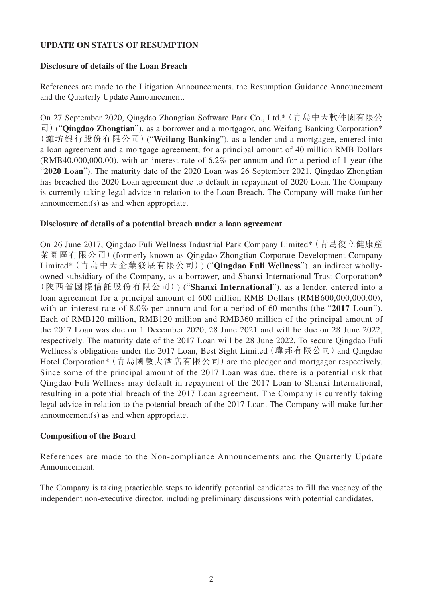#### **UPDATE ON STATUS OF RESUMPTION**

#### **Disclosure of details of the Loan Breach**

References are made to the Litigation Announcements, the Resumption Guidance Announcement and the Quarterly Update Announcement.

On 27 September 2020, Qingdao Zhongtian Software Park Co., Ltd.\*(青島中天軟件園有限公 司)("**Qingdao Zhongtian**"), as a borrower and a mortgagor, and Weifang Banking Corporation\* (濰坊銀行股份有限公司)("**Weifang Banking**"), as a lender and a mortgagee, entered into a loan agreement and a mortgage agreement, for a principal amount of 40 million RMB Dollars (RMB40,000,000.00), with an interest rate of 6.2% per annum and for a period of 1 year (the "**2020 Loan**"). The maturity date of the 2020 Loan was 26 September 2021. Qingdao Zhongtian has breached the 2020 Loan agreement due to default in repayment of 2020 Loan. The Company is currently taking legal advice in relation to the Loan Breach. The Company will make further announcement(s) as and when appropriate.

#### **Disclosure of details of a potential breach under a loan agreement**

On 26 June 2017, Qingdao Fuli Wellness Industrial Park Company Limited\*(青島復立健康產 業園區有限公司)(formerly known as Qingdao Zhongtian Corporate Development Company Limited\*(青島中天企業發展有限公司)) ("**Qingdao Fuli Wellness**"), an indirect whollyowned subsidiary of the Company, as a borrower, and Shanxi International Trust Corporation\* (陝西省國際信託股份有限公司)) ("**Shanxi International**"), as a lender, entered into a loan agreement for a principal amount of 600 million RMB Dollars (RMB600,000,000.00), with an interest rate of 8.0% per annum and for a period of 60 months (the "**2017 Loan**"). Each of RMB120 million, RMB120 million and RMB360 million of the principal amount of the 2017 Loan was due on 1 December 2020, 28 June 2021 and will be due on 28 June 2022, respectively. The maturity date of the 2017 Loan will be 28 June 2022. To secure Qingdao Fuli Wellness's obligations under the 2017 Loan, Best Sight Limited (瑋邦有限公司) and Qingdao Hotel Corporation\* (青島國敦大酒店有限公司) are the pledgor and mortgagor respectively. Since some of the principal amount of the 2017 Loan was due, there is a potential risk that Qingdao Fuli Wellness may default in repayment of the 2017 Loan to Shanxi International, resulting in a potential breach of the 2017 Loan agreement. The Company is currently taking legal advice in relation to the potential breach of the 2017 Loan. The Company will make further announcement(s) as and when appropriate.

#### **Composition of the Board**

References are made to the Non-compliance Announcements and the Quarterly Update Announcement.

The Company is taking practicable steps to identify potential candidates to fill the vacancy of the independent non-executive director, including preliminary discussions with potential candidates.